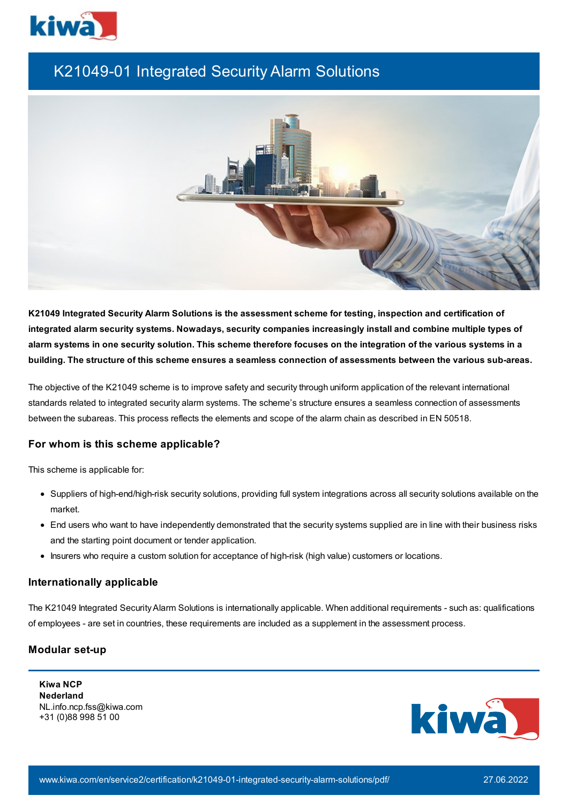

# K21049-01 Integrated Security Alarm Solutions



**K21049 Integrated Security Alarm Solutions is the assessment scheme for testing, inspection and certification of integrated alarm security systems. Nowadays, security companies increasingly install and combine multiple types of** alarm systems in one security solution. This scheme therefore focuses on the integration of the various systems in a building. The structure of this scheme ensures a seamless connection of assessments between the various sub-areas.

The objective of the K21049 scheme is to improve safety and security through uniform application of the relevant international standards related to integrated security alarm systems. The scheme's structure ensures a seamless connection of assessments between the subareas. This process reflects the elements and scope of the alarm chain as described in EN 50518.

## **For whom is this scheme applicable?**

This scheme is applicable for:

- Suppliers of high-end/high-risk security solutions, providing full system integrations across all security solutions available on the market.
- End users who want to have independently demonstrated that the security systems supplied are in line with their business risks and the starting point document or tender application.
- Insurers who require a custom solution for acceptance of high-risk (high value) customers or locations.

## **Internationally applicable**

The K21049 Integrated SecurityAlarm Solutions is internationally applicable. When additional requirements - such as: qualifications of employees - are set in countries, these requirements are included as a supplement in the assessment process.

## **Modular set-up**

**Kiwa NCP Nederland** NL.info.ncp.fss@kiwa.com +31 (0)88 998 51 00